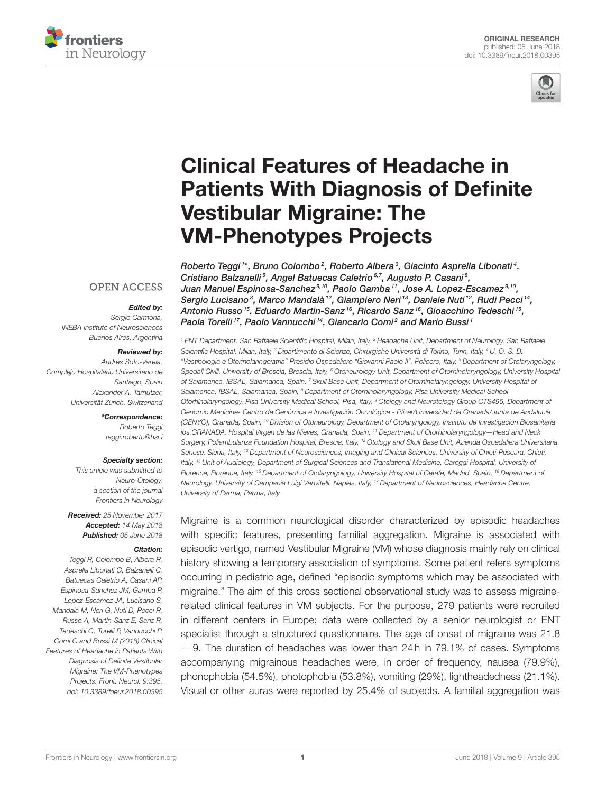



# Clinical Features of Headache in [Patients With Diagnosis of Definite](https://www.frontiersin.org/articles/10.3389/fneur.2018.00395/full) Vestibular Migraine: The VM-Phenotypes Projects

[Roberto Teggi](http://loop.frontiersin.org/people/197651/overview)1\*, Bruno Colombo $^2$ , Roberto Albera $^3$ , Giacinto Asprella Libonati $^4$ , Cristiano Balzanelli<sup>5</sup>, [Angel Batuecas Caletrio](http://loop.frontiersin.org/people/340834/overview)<sup>6,7</sup>, [Augusto P. Casani](http://loop.frontiersin.org/people/427260/overview)<sup>8</sup>, [Juan Manuel Espinosa-Sanchez](http://loop.frontiersin.org/people/191958/overview) $^{9,10}$ , Paolo Gamba $^{11}$ , [Jose A. Lopez-Escamez](http://loop.frontiersin.org/people/186429/overview) $^{9,10}$ , Sergio Lucisano<sup>3</sup>, [Marco Mandalà](http://loop.frontiersin.org/people/19939/overview)<sup>12</sup>, Giampiero Neri<sup>13</sup>, [Daniele Nuti](http://loop.frontiersin.org/people/15444/overview)<sup>12</sup>, [Rudi Pecci](http://loop.frontiersin.org/people/492200/overview)<sup>14</sup>, [Antonio Russo](http://loop.frontiersin.org/people/424090/overview) <sup>15</sup>, [Eduardo Martin-Sanz](http://loop.frontiersin.org/people/340716/overview) <sup>16</sup>, Ricardo Sanz <sup>16</sup>, [Gioacchino Tedeschi](http://loop.frontiersin.org/people/206657/overview) <sup>15</sup>, Paola Torelli<sup>17</sup>, Paolo Vannucchi<sup>14</sup>, [Giancarlo Comi](http://loop.frontiersin.org/people/68484/overview)<sup>2</sup> and Mario Bussi<sup>1</sup>

<sup>1</sup> ENT Department, San Raffaele Scientific Hospital, Milan, Italy, <sup>2</sup> Headache Unit, Department of Neurology, San Raffaele Scientific Hospital, Milan, Italy, <sup>3</sup> Dipartimento di Scienze, Chirurgiche Università di Torino, Turin, Italy, <sup>4</sup> U. O. S. D. "Vestibologia e Otorinolaringoiatria" Presidio Ospedaliero "Giovanni Paolo II", Policoro, Italy, <sup>5</sup> Department of Otolaryngology, Spedali Civili, University of Brescia, Brescia, Italy, <sup>6</sup> Otoneurology Unit, Department of Otorhinolaryngology, University Hospital of Salamanca, IBSAL, Salamanca, Spain, <sup>7</sup> Skull Base Unit, Department of Otorhinolaryngology, University Hospital of Salamanca, IBSAL, Salamanca, Spain, <sup>8</sup> Department of Otorhinolaryngology, Pisa University Medical School Otorhinolaryngology, Pisa University Medical School, Pisa, Italy, <sup>9</sup> Otology and Neurotology Group CTS495, Department of Genomic Medicine- Centro de Genómica e Investigación Oncológica - Pfizer/Universidad de Granada/Junta de Andalucía (GENYO), Granada, Spain, <sup>10</sup> Division of Otoneurology, Department of Otolaryngology, Instituto de Investigación Biosanitaria ibs.GRANADA, Hospital Virgen de las Nieves, Granada, Spain, <sup>11</sup> Department of Otorhinolaryngology—Head and Neck Surgery, Poliambulanza Foundation Hospital, Brescia, Italy, <sup>12</sup> Otology and Skull Base Unit, Azienda Ospedaliera Universitaria Senese, Siena, Italy, <sup>13</sup> Department of Neurosciences, Imaging and Clinical Sciences, University of Chieti-Pescara, Chieti, Italy, <sup>14</sup> Unit of Audiology, Department of Surgical Sciences and Translational Medicine, Careggi Hospital, University of Florence, Florence, Italy, <sup>15</sup> Department of Otolaryngology, University Hospital of Getafe, Madrid, Spain, <sup>16</sup> Department of Neurology, University of Campania Luigi Vanvitelli, Naples, Italy, <sup>17</sup> Department of Neurosciences, Headache Centre, University of Parma, Parma, Italy

Migraine is a common neurological disorder characterized by episodic headaches with specific features, presenting familial aggregation. Migraine is associated with episodic vertigo, named Vestibular Migraine (VM) whose diagnosis mainly rely on clinical history showing a temporary association of symptoms. Some patient refers symptoms occurring in pediatric age, defined "episodic symptoms which may be associated with migraine." The aim of this cross sectional observational study was to assess migrainerelated clinical features in VM subjects. For the purpose, 279 patients were recruited in different centers in Europe; data were collected by a senior neurologist or ENT specialist through a structured questionnaire. The age of onset of migraine was 21.8  $\pm$  9. The duration of headaches was lower than 24h in 79.1% of cases. Symptoms accompanying migrainous headaches were, in order of frequency, nausea (79.9%), phonophobia (54.5%), photophobia (53.8%), vomiting (29%), lightheadedness (21.1%). Visual or other auras were reported by 25.4% of subjects. A familial aggregation was

#### **OPEN ACCESS**

#### Edited by:

Sergio Carmona, INEBA Institute of Neurosciences Buenos Aires, Argentina

#### Reviewed by:

Andrés Soto-Varela, Complejo Hospitalario Universitario de Santiago, Spain Alexander A. Tarnutzer, Universität Zürich, Switzerland

> \*Correspondence: Roberto Teggi [teggi.roberto@hsr.i](mailto:teggi.roberto@hsr.i)

#### Specialty section:

This article was submitted to Neuro-Otology, a section of the journal Frontiers in Neurology

Received: 25 November 2017 Accepted: 14 May 2018 Published: 05 June 2018

#### Citation:

Teggi R, Colombo B, Albera R, Asprella Libonati G, Balzanelli C, Batuecas Caletrio A, Casani AP, Espinosa-Sanchez JM, Gamba P, Lopez-Escamez JA, Lucisano S, Mandalà M, Neri G, Nuti D, Pecci R, Russo A, Martin-Sanz E, Sanz R, Tedeschi G, Torelli P, Vannucchi P, Comi G and Bussi M (2018) Clinical Features of Headache in Patients With Diagnosis of Definite Vestibular Migraine: The VM-Phenotypes Projects. Front. Neurol. 9:395. doi: [10.3389/fneur.2018.00395](https://doi.org/10.3389/fneur.2018.00395)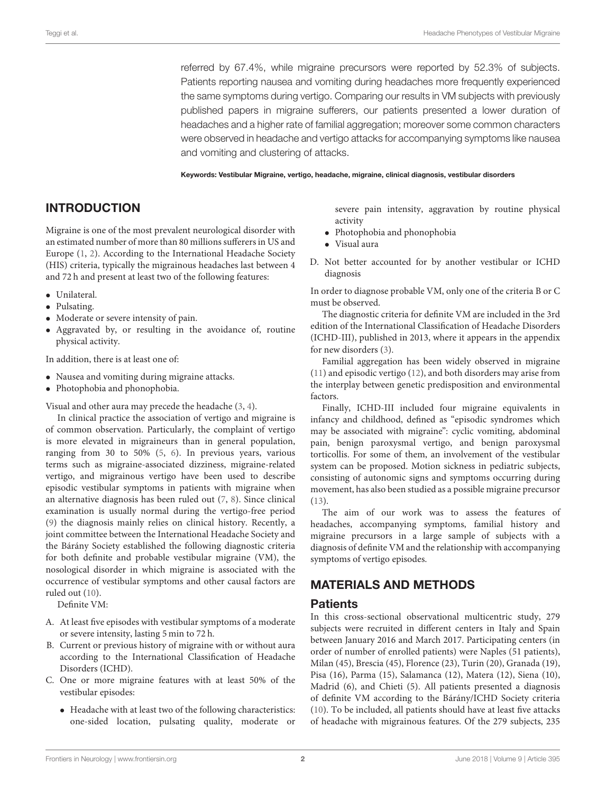referred by 67.4%, while migraine precursors were reported by 52.3% of subjects. Patients reporting nausea and vomiting during headaches more frequently experienced the same symptoms during vertigo. Comparing our results in VM subjects with previously published papers in migraine sufferers, our patients presented a lower duration of headaches and a higher rate of familial aggregation; moreover some common characters were observed in headache and vertigo attacks for accompanying symptoms like nausea and vomiting and clustering of attacks.

Keywords: Vestibular Migraine, vertigo, headache, migraine, clinical diagnosis, vestibular disorders

## INTRODUCTION

Migraine is one of the most prevalent neurological disorder with an estimated number of more than 80 millions sufferers in US and Europe [\(1,](#page-4-0) [2\)](#page-4-1). According to the International Headache Society (HIS) criteria, typically the migrainous headaches last between 4 and 72 h and present at least two of the following features:

- Unilateral.
- Pulsating.
- Moderate or severe intensity of pain.
- Aggravated by, or resulting in the avoidance of, routine physical activity.

In addition, there is at least one of:

- Nausea and vomiting during migraine attacks.
- Photophobia and phonophobia.

Visual and other aura may precede the headache [\(3,](#page-4-2) [4\)](#page-4-3).

In clinical practice the association of vertigo and migraine is of common observation. Particularly, the complaint of vertigo is more elevated in migraineurs than in general population, ranging from 30 to 50% [\(5,](#page-4-4) [6\)](#page-4-5). In previous years, various terms such as migraine-associated dizziness, migraine-related vertigo, and migrainous vertigo have been used to describe episodic vestibular symptoms in patients with migraine when an alternative diagnosis has been ruled out [\(7,](#page-4-6) [8\)](#page-4-7). Since clinical examination is usually normal during the vertigo-free period [\(9\)](#page-4-8) the diagnosis mainly relies on clinical history. Recently, a joint committee between the International Headache Society and the Bárány Society established the following diagnostic criteria for both definite and probable vestibular migraine (VM), the nosological disorder in which migraine is associated with the occurrence of vestibular symptoms and other causal factors are ruled out [\(10\)](#page-4-9).

Definite VM:

- A. At least five episodes with vestibular symptoms of a moderate or severe intensity, lasting 5 min to 72 h.
- B. Current or previous history of migraine with or without aura according to the International Classification of Headache Disorders (ICHD).
- C. One or more migraine features with at least 50% of the vestibular episodes:
	- Headache with at least two of the following characteristics: one-sided location, pulsating quality, moderate or

severe pain intensity, aggravation by routine physical activity

- Photophobia and phonophobia
- Visual aura
- D. Not better accounted for by another vestibular or ICHD diagnosis

In order to diagnose probable VM, only one of the criteria B or C must be observed.

The diagnostic criteria for definite VM are included in the 3rd edition of the International Classification of Headache Disorders (ICHD-III), published in 2013, where it appears in the appendix for new disorders [\(3\)](#page-4-2).

Familial aggregation has been widely observed in migraine [\(11\)](#page-4-10) and episodic vertigo [\(12\)](#page-4-11), and both disorders may arise from the interplay between genetic predisposition and environmental factors.

Finally, ICHD-III included four migraine equivalents in infancy and childhood, defined as "episodic syndromes which may be associated with migraine": cyclic vomiting, abdominal pain, benign paroxysmal vertigo, and benign paroxysmal torticollis. For some of them, an involvement of the vestibular system can be proposed. Motion sickness in pediatric subjects, consisting of autonomic signs and symptoms occurring during movement, has also been studied as a possible migraine precursor [\(13\)](#page-4-12).

The aim of our work was to assess the features of headaches, accompanying symptoms, familial history and migraine precursors in a large sample of subjects with a diagnosis of definite VM and the relationship with accompanying symptoms of vertigo episodes.

## MATERIALS AND METHODS

## **Patients**

In this cross-sectional observational multicentric study, 279 subjects were recruited in different centers in Italy and Spain between January 2016 and March 2017. Participating centers (in order of number of enrolled patients) were Naples (51 patients), Milan (45), Brescia (45), Florence (23), Turin (20), Granada (19), Pisa (16), Parma (15), Salamanca (12), Matera (12), Siena (10), Madrid (6), and Chieti (5). All patients presented a diagnosis of definite VM according to the Bárány/ICHD Society criteria [\(10\)](#page-4-9). To be included, all patients should have at least five attacks of headache with migrainous features. Of the 279 subjects, 235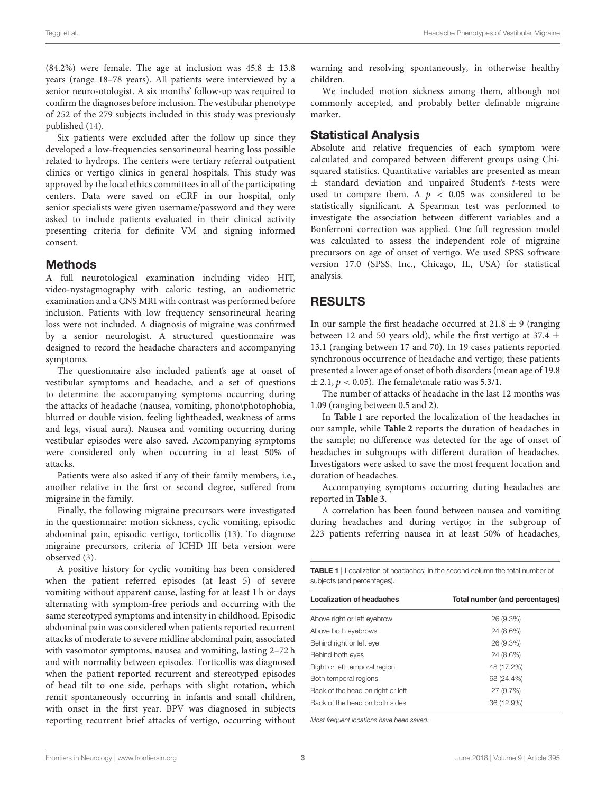(84.2%) were female. The age at inclusion was  $45.8 \pm 13.8$ years (range 18–78 years). All patients were interviewed by a senior neuro-otologist. A six months' follow-up was required to confirm the diagnoses before inclusion. The vestibular phenotype of 252 of the 279 subjects included in this study was previously published [\(14\)](#page-4-13).

Six patients were excluded after the follow up since they developed a low-frequencies sensorineural hearing loss possible related to hydrops. The centers were tertiary referral outpatient clinics or vertigo clinics in general hospitals. This study was approved by the local ethics committees in all of the participating centers. Data were saved on eCRF in our hospital, only senior specialists were given username/password and they were asked to include patients evaluated in their clinical activity presenting criteria for definite VM and signing informed consent.

#### Methods

A full neurotological examination including video HIT, video-nystagmography with caloric testing, an audiometric examination and a CNS MRI with contrast was performed before inclusion. Patients with low frequency sensorineural hearing loss were not included. A diagnosis of migraine was confirmed by a senior neurologist. A structured questionnaire was designed to record the headache characters and accompanying symptoms.

The questionnaire also included patient's age at onset of vestibular symptoms and headache, and a set of questions to determine the accompanying symptoms occurring during the attacks of headache (nausea, vomiting, phono\photophobia, blurred or double vision, feeling lightheaded, weakness of arms and legs, visual aura). Nausea and vomiting occurring during vestibular episodes were also saved. Accompanying symptoms were considered only when occurring in at least 50% of attacks.

Patients were also asked if any of their family members, i.e., another relative in the first or second degree, suffered from migraine in the family.

Finally, the following migraine precursors were investigated in the questionnaire: motion sickness, cyclic vomiting, episodic abdominal pain, episodic vertigo, torticollis [\(13\)](#page-4-12). To diagnose migraine precursors, criteria of ICHD III beta version were observed [\(3\)](#page-4-2).

A positive history for cyclic vomiting has been considered when the patient referred episodes (at least 5) of severe vomiting without apparent cause, lasting for at least 1 h or days alternating with symptom-free periods and occurring with the same stereotyped symptoms and intensity in childhood. Episodic abdominal pain was considered when patients reported recurrent attacks of moderate to severe midline abdominal pain, associated with vasomotor symptoms, nausea and vomiting, lasting 2–72 h and with normality between episodes. Torticollis was diagnosed when the patient reported recurrent and stereotyped episodes of head tilt to one side, perhaps with slight rotation, which remit spontaneously occurring in infants and small children, with onset in the first year. BPV was diagnosed in subjects reporting recurrent brief attacks of vertigo, occurring without warning and resolving spontaneously, in otherwise healthy children.

We included motion sickness among them, although not commonly accepted, and probably better definable migraine marker.

## Statistical Analysis

Absolute and relative frequencies of each symptom were calculated and compared between different groups using Chisquared statistics. Quantitative variables are presented as mean  $±$  standard deviation and unpaired Student's t-tests were used to compare them. A  $p < 0.05$  was considered to be statistically significant. A Spearman test was performed to investigate the association between different variables and a Bonferroni correction was applied. One full regression model was calculated to assess the independent role of migraine precursors on age of onset of vertigo. We used SPSS software version 17.0 (SPSS, Inc., Chicago, IL, USA) for statistical analysis.

## RESULTS

In our sample the first headache occurred at  $21.8 \pm 9$  (ranging between 12 and 50 years old), while the first vertigo at 37.4  $\pm$ 13.1 (ranging between 17 and 70). In 19 cases patients reported synchronous occurrence of headache and vertigo; these patients presented a lower age of onset of both disorders (mean age of 19.8  $\pm$  2.1,  $p < 0.05$ ). The female\male ratio was 5.3/1.

The number of attacks of headache in the last 12 months was 1.09 (ranging between 0.5 and 2).

In **[Table 1](#page-2-0)** are reported the localization of the headaches in our sample, while **[Table 2](#page-3-0)** reports the duration of headaches in the sample; no difference was detected for the age of onset of headaches in subgroups with different duration of headaches. Investigators were asked to save the most frequent location and duration of headaches.

Accompanying symptoms occurring during headaches are reported in **[Table 3](#page-3-1)**.

A correlation has been found between nausea and vomiting during headaches and during vertigo; in the subgroup of 223 patients referring nausea in at least 50% of headaches,

<span id="page-2-0"></span>

| <b>TABLE 1</b>   Localization of headaches; in the second column the total number of |
|--------------------------------------------------------------------------------------|
| subjects (and percentages).                                                          |

| <b>Localization of headaches</b>  | Total number (and percentages) |
|-----------------------------------|--------------------------------|
| Above right or left eyebrow       | 26 (9.3%)                      |
| Above both eyebrows               | 24 (8.6%)                      |
| Behind right or left eye          | 26 (9.3%)                      |
| Behind both eyes                  | 24 (8.6%)                      |
| Right or left temporal region     | 48 (17.2%)                     |
| Both temporal regions             | 68 (24.4%)                     |
| Back of the head on right or left | 27 (9.7%)                      |
| Back of the head on both sides    | 36 (12.9%)                     |
|                                   |                                |

Most frequent locations have been saved.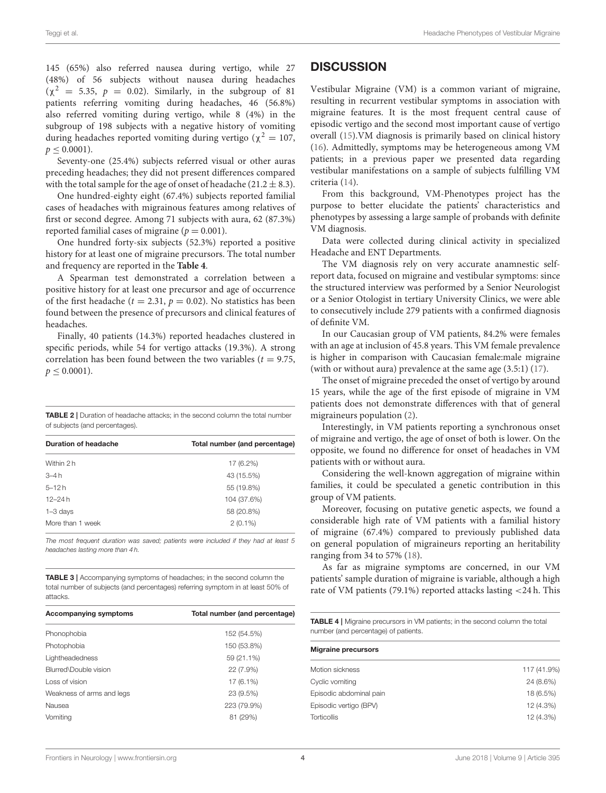145 (65%) also referred nausea during vertigo, while 27 (48%) of 56 subjects without nausea during headaches  $(χ<sup>2</sup> = 5.35, p = 0.02)$ . Similarly, in the subgroup of 81 patients referring vomiting during headaches, 46 (56.8%) also referred vomiting during vertigo, while 8 (4%) in the subgroup of 198 subjects with a negative history of vomiting during headaches reported vomiting during vertigo ( $\chi^2 = 107$ ,  $p < 0.0001$ ).

Seventy-one (25.4%) subjects referred visual or other auras preceding headaches; they did not present differences compared with the total sample for the age of onset of headache ( $21.2 \pm 8.3$ ).

One hundred-eighty eight (67.4%) subjects reported familial cases of headaches with migrainous features among relatives of first or second degree. Among 71 subjects with aura, 62 (87.3%) reported familial cases of migraine ( $p = 0.001$ ).

One hundred forty-six subjects (52.3%) reported a positive history for at least one of migraine precursors. The total number and frequency are reported in the **[Table 4](#page-3-2)**.

A Spearman test demonstrated a correlation between a positive history for at least one precursor and age of occurrence of the first headache ( $t = 2.31$ ,  $p = 0.02$ ). No statistics has been found between the presence of precursors and clinical features of headaches.

Finally, 40 patients (14.3%) reported headaches clustered in specific periods, while 54 for vertigo attacks (19.3%). A strong correlation has been found between the two variables ( $t = 9.75$ ,  $p \leq 0.0001$ ).

<span id="page-3-0"></span>TABLE 2 | Duration of headache attacks; in the second column the total number of subjects (and percentages).

| Duration of headache | Total number (and percentage) |
|----------------------|-------------------------------|
| Within 2 h           | 17 (6.2%)                     |
| $3-4h$               | 43 (15.5%)                    |
| $5 - 12h$            | 55 (19.8%)                    |
| $12 - 24h$           | 104 (37.6%)                   |
| $1 - 3$ days         | 58 (20.8%)                    |
| More than 1 week     | $2(0.1\%)$                    |

The most frequent duration was saved; patients were included if they had at least 5 headaches lasting more than 4 h.

<span id="page-3-1"></span>TABLE 3 | Accompanying symptoms of headaches; in the second column the total number of subjects (and percentages) referring symptom in at least 50% of attacks.

| <b>Accompanying symptoms</b> | Total number (and percentage) |
|------------------------------|-------------------------------|
| Phonophobia                  | 152 (54.5%)                   |
| Photophobia                  | 150 (53.8%)                   |
| Lightheadedness              | 59 (21.1%)                    |
| Blurred\Double vision        | 22 (7.9%)                     |
| Loss of vision               | 17 (6.1%)                     |
| Weakness of arms and legs    | 23 (9.5%)                     |
| Nausea                       | 223 (79.9%)                   |
| Vomiting                     | 81 (29%)                      |

### **DISCUSSION**

Vestibular Migraine (VM) is a common variant of migraine, resulting in recurrent vestibular symptoms in association with migraine features. It is the most frequent central cause of episodic vertigo and the second most important cause of vertigo overall [\(15\)](#page-4-14).VM diagnosis is primarily based on clinical history [\(16\)](#page-4-15). Admittedly, symptoms may be heterogeneous among VM patients; in a previous paper we presented data regarding vestibular manifestations on a sample of subjects fulfilling VM criteria [\(14\)](#page-4-13).

From this background, VM-Phenotypes project has the purpose to better elucidate the patients' characteristics and phenotypes by assessing a large sample of probands with definite VM diagnosis.

Data were collected during clinical activity in specialized Headache and ENT Departments.

The VM diagnosis rely on very accurate anamnestic selfreport data, focused on migraine and vestibular symptoms: since the structured interview was performed by a Senior Neurologist or a Senior Otologist in tertiary University Clinics, we were able to consecutively include 279 patients with a confirmed diagnosis of definite VM.

In our Caucasian group of VM patients, 84.2% were females with an age at inclusion of 45.8 years. This VM female prevalence is higher in comparison with Caucasian female:male migraine (with or without aura) prevalence at the same age (3.5:1) [\(17\)](#page-5-0).

The onset of migraine preceded the onset of vertigo by around 15 years, while the age of the first episode of migraine in VM patients does not demonstrate differences with that of general migraineurs population [\(2\)](#page-4-1).

Interestingly, in VM patients reporting a synchronous onset of migraine and vertigo, the age of onset of both is lower. On the opposite, we found no difference for onset of headaches in VM patients with or without aura.

Considering the well-known aggregation of migraine within families, it could be speculated a genetic contribution in this group of VM patients.

Moreover, focusing on putative genetic aspects, we found a considerable high rate of VM patients with a familial history of migraine (67.4%) compared to previously published data on general population of migraineurs reporting an heritability ranging from 34 to 57% [\(18\)](#page-5-1).

As far as migraine symptoms are concerned, in our VM patients' sample duration of migraine is variable, although a high rate of VM patients (79.1%) reported attacks lasting <24 h. This

<span id="page-3-2"></span>TABLE 4 | Migraine precursors in VM patients; in the second column the total number (and percentage) of patients.

| <b>Migraine precursors</b> |           |  |
|----------------------------|-----------|--|
|                            |           |  |
| Cyclic vomiting            | 24 (8.6%) |  |
| Episodic abdominal pain    | 18 (6.5%) |  |
| Episodic vertigo (BPV)     | 12 (4.3%) |  |
| <b>Torticollis</b>         | 12 (4.3%) |  |
|                            |           |  |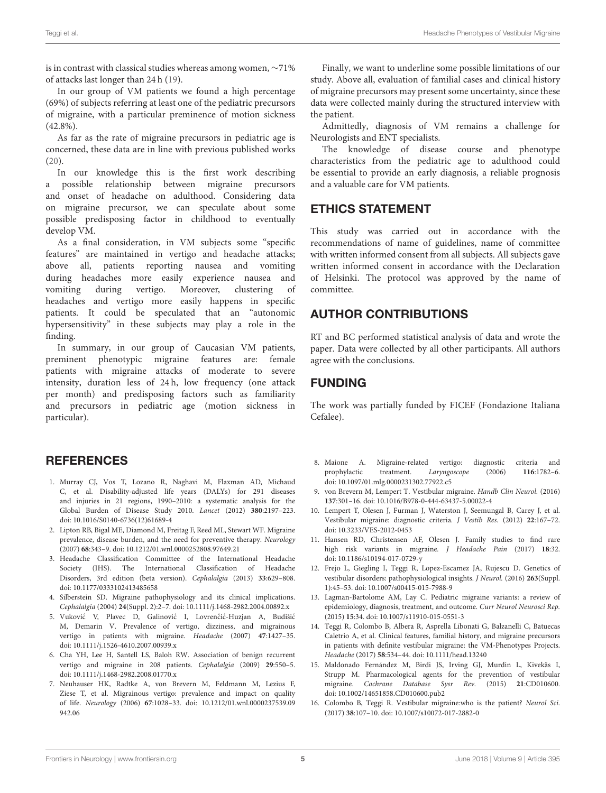is in contrast with classical studies whereas among women, ∼71% of attacks last longer than 24 h [\(19\)](#page-5-2).

In our group of VM patients we found a high percentage (69%) of subjects referring at least one of the pediatric precursors of migraine, with a particular preminence of motion sickness  $(42.8\%)$ 

As far as the rate of migraine precursors in pediatric age is concerned, these data are in line with previous published works  $(20)$ 

In our knowledge this is the first work describing a possible relationship between migraine precursors and onset of headache on adulthood. Considering data on migraine precursor, we can speculate about some possible predisposing factor in childhood to eventually develop VM.

As a final consideration, in VM subjects some "specific features" are maintained in vertigo and headache attacks; above all, patients reporting nausea and vomiting during headaches more easily experience nausea and vomiting during vertigo. Moreover, clustering of headaches and vertigo more easily happens in specific patients. It could be speculated that an "autonomic hypersensitivity" in these subjects may play a role in the finding.

In summary, in our group of Caucasian VM patients, preminent phenotypic migraine features are: female patients with migraine attacks of moderate to severe intensity, duration less of 24h, low frequency (one attack per month) and predisposing factors such as familiarity and precursors in pediatric age (motion sickness in particular).

## **REFERENCES**

- <span id="page-4-0"></span>1. Murray CJ, Vos T, Lozano R, Naghavi M, Flaxman AD, Michaud C, et al. Disability-adjusted life years (DALYs) for 291 diseases and injuries in 21 regions, 1990–2010: a systematic analysis for the Global Burden of Disease Study 2010. Lancet (2012) **380**:2197–223. doi: [10.1016/S0140-6736\(12\)61689-4](https://doi.org/10.1016/S0140-6736(12)61689-4)
- <span id="page-4-1"></span>2. Lipton RB, Bigal ME, Diamond M, Freitag F, Reed ML, Stewart WF. Migraine prevalence, disease burden, and the need for preventive therapy. Neurology (2007) **68**:343–9. doi: [10.1212/01.wnl.0000252808.97649.21](https://doi.org/10.1212/01.wnl.0000252808.97649.21)
- <span id="page-4-2"></span>3. Headache Classification Committee of the International Headache Society (IHS). The International Classification of Headache Disorders, 3rd edition (beta version). Cephalalgia (2013) **33**:629–808. doi: [10.1177/0333102413485658](https://doi.org/10.1177/0333102413485658)
- <span id="page-4-3"></span>4. Silberstein SD. Migraine pathophysiology and its clinical implications. Cephalalgia (2004) **24**(Suppl. 2):2–7. doi: [10.1111/j.1468-2982.2004.00892.x](https://doi.org/10.1111/j.1468-2982.2004.00892.x)
- <span id="page-4-4"></span>5. Vuković V, Plavec D, Galinović I, Lovrenčić-Huzjan A, Budišić M, Demarin V. Prevalence of vertigo, dizziness, and migrainous vertigo in patients with migraine. Headache (2007) **47**:1427–35. doi: [10.1111/j.1526-4610.2007.00939.x](https://doi.org/10.1111/j.1526-4610.2007.00939.x)
- <span id="page-4-5"></span>6. Cha YH, Lee H, Santell LS, Baloh RW. Association of benign recurrent vertigo and migraine in 208 patients. Cephalalgia (2009) **29**:550–5. doi: [10.1111/j.1468-2982.2008.01770.x](https://doi.org/10.1111/j.1468-2982.2008.01770.x)
- <span id="page-4-6"></span>7. Neuhauser HK, Radtke A, von Brevern M, Feldmann M, Lezius F, Ziese T, et al. Migrainous vertigo: prevalence and impact on quality of life. Neurology (2006) **67**[:1028–33. doi: 10.1212/01.wnl.0000237539.09](https://doi.org/10.1212/01.wnl.0000237539.09942.06) 942.06

Finally, we want to underline some possible limitations of our study. Above all, evaluation of familial cases and clinical history of migraine precursors may present some uncertainty, since these data were collected mainly during the structured interview with the patient.

Admittedly, diagnosis of VM remains a challenge for Neurologists and ENT specialists.

The knowledge of disease course and phenotype characteristics from the pediatric age to adulthood could be essential to provide an early diagnosis, a reliable prognosis and a valuable care for VM patients.

# ETHICS STATEMENT

This study was carried out in accordance with the recommendations of name of guidelines, name of committee with written informed consent from all subjects. All subjects gave written informed consent in accordance with the Declaration of Helsinki. The protocol was approved by the name of committee.

# AUTHOR CONTRIBUTIONS

RT and BC performed statistical analysis of data and wrote the paper. Data were collected by all other participants. All authors agree with the conclusions.

## FUNDING

The work was partially funded by FICEF (Fondazione Italiana Cefalee).

- <span id="page-4-7"></span>8. Maione A. Migraine-related vertigo: diagnostic criteria and prophylactic treatment. Laryngoscope (2006) **116**:1782–6. doi: [10.1097/01.mlg.0000231302.77922.c5](https://doi.org/10.1097/01.mlg.0000231302.77922.c5)
- <span id="page-4-8"></span>9. von Brevern M, Lempert T. Vestibular migraine. Handb Clin Neurol. (2016) **137**:301–16. doi: [10.1016/B978-0-444-63437-5.00022-4](https://doi.org/10.1016/B978-0-444-63437-5.00022-4)
- <span id="page-4-9"></span>10. Lempert T, Olesen J, Furman J, Waterston J, Seemungal B, Carey J, et al. Vestibular migraine: diagnostic criteria. J Vestib Res. (2012) **22**:167–72. doi: [10.3233/VES-2012-0453](https://doi.org/10.3233/VES-2012-0453)
- <span id="page-4-10"></span>11. Hansen RD, Christensen AF, Olesen J. Family studies to find rare high risk variants in migraine. J Headache Pain (2017) **18**:32. doi: [10.1186/s10194-017-0729-y](https://doi.org/10.1186/s10194-017-0729-y)
- <span id="page-4-11"></span>12. Frejo L, Giegling I, Teggi R, Lopez-Escamez JA, Rujescu D. Genetics of vestibular disorders: pathophysiological insights. J Neurol. (2016) **263**(Suppl. 1):45–53. doi: [10.1007/s00415-015-7988-9](https://doi.org/10.1007/s00415-015-7988-9)
- <span id="page-4-12"></span>13. Lagman-Bartolome AM, Lay C. Pediatric migraine variants: a review of epidemiology, diagnosis, treatment, and outcome. Curr Neurol Neurosci Rep. (2015) **15**:34. doi: [10.1007/s11910-015-0551-3](https://doi.org/10.1007/s11910-015-0551-3)
- <span id="page-4-13"></span>14. Teggi R, Colombo B, Albera R, Asprella Libonati G, Balzanelli C, Batuecas Caletrio A, et al. Clinical features, familial history, and migraine precursors in patients with definite vestibular migraine: the VM-Phenotypes Projects. Headache (2017) **58**:534–44. doi: [10.1111/head.13240](https://doi.org/10.1111/head.13240)
- <span id="page-4-14"></span>15. Maldonado Fernández M, Birdi JS, Irving GJ, Murdin L, Kivekäs I, Strupp M. Pharmacological agents for the prevention of vestibular migraine. Cochrane Database Sysr Rev. (2015) **21**:CD010600. doi: [10.1002/14651858.CD010600.pub2](https://doi.org/10.1002/14651858.CD010600.pub2)
- <span id="page-4-15"></span>16. Colombo B, Teggi R. Vestibular migraine:who is the patient? Neurol Sci. (2017) **38**:107–10. doi: [10.1007/s10072-017-2882-0](https://doi.org/10.1007/s10072-017-2882-0)